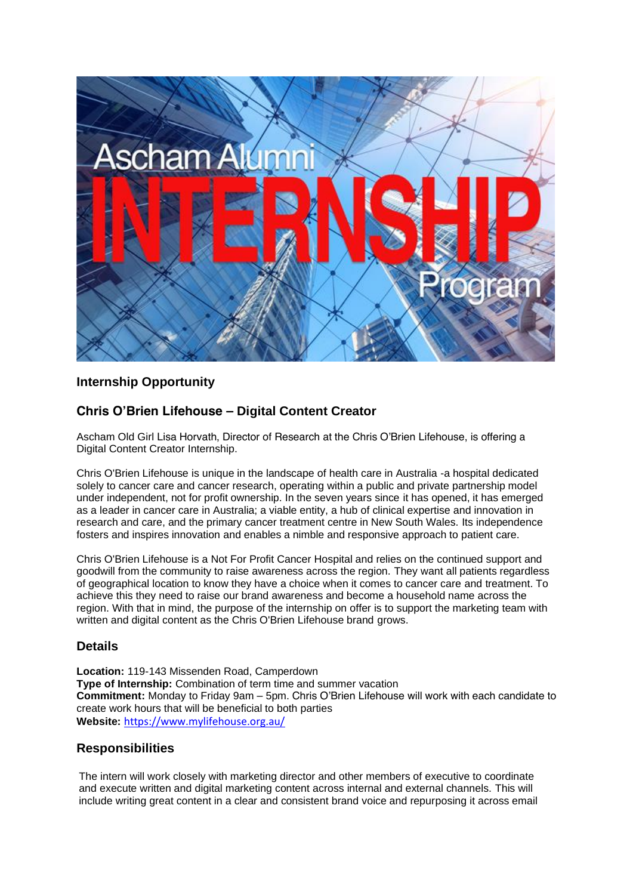

# **Internship Opportunity**

# **Chris O'Brien Lifehouse – Digital Content Creator**

Ascham Old Girl Lisa Horvath, Director of Research at the Chris O'Brien Lifehouse, is offering a Digital Content Creator Internship.

Chris O'Brien Lifehouse is unique in the landscape of health care in Australia -a hospital dedicated solely to cancer care and cancer research, operating within a public and private partnership model under independent, not for profit ownership. In the seven years since it has opened, it has emerged as a leader in cancer care in Australia; a viable entity, a hub of clinical expertise and innovation in research and care, and the primary cancer treatment centre in New South Wales. Its independence fosters and inspires innovation and enables a nimble and responsive approach to patient care.

Chris O'Brien Lifehouse is a Not For Profit Cancer Hospital and relies on the continued support and goodwill from the community to raise awareness across the region. They want all patients regardless of geographical location to know they have a choice when it comes to cancer care and treatment. To achieve this they need to raise our brand awareness and become a household name across the region. With that in mind, the purpose of the internship on offer is to support the marketing team with written and digital content as the Chris O'Brien Lifehouse brand grows.

### **Details**

**Location:** 119-143 Missenden Road, Camperdown **Type of Internship:** Combination of term time and summer vacation **Commitment:** Monday to Friday 9am – 5pm. Chris O'Brien Lifehouse will work with each candidate to create work hours that will be beneficial to both parties **Website:** <https://www.mylifehouse.org.au/>

### **Responsibilities**

The intern will work closely with marketing director and other members of executive to coordinate and execute written and digital marketing content across internal and external channels. This will include writing great content in a clear and consistent brand voice and repurposing it across email